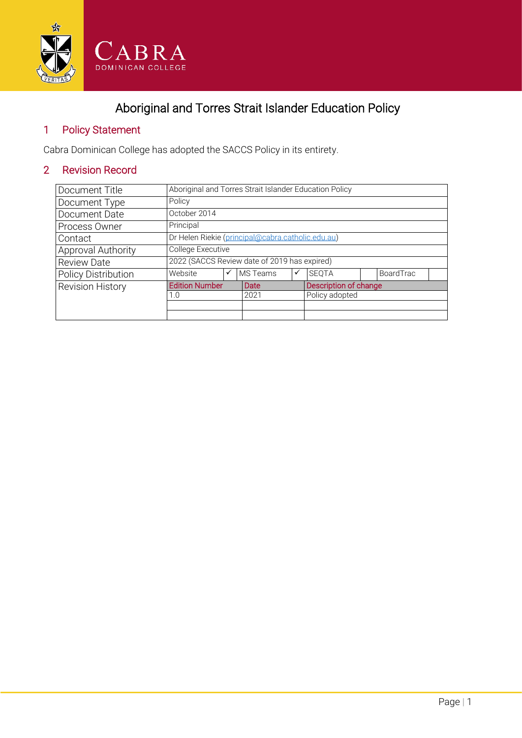

# Aboriginal and Torres Strait Islander Education Policy

#### 1 Policy Statement

Cabra Dominican College has adopted the SACCS Policy in its entirety.

## 2 Revision Record

| Document Title                                   | Aboriginal and Torres Strait Islander Education Policy |      |                 |                       |              |  |           |  |
|--------------------------------------------------|--------------------------------------------------------|------|-----------------|-----------------------|--------------|--|-----------|--|
| Document Type                                    | Policy                                                 |      |                 |                       |              |  |           |  |
| Document Date                                    | October 2014                                           |      |                 |                       |              |  |           |  |
| Process Owner                                    | Principal                                              |      |                 |                       |              |  |           |  |
| Contact                                          | Dr Helen Riekie (principal@cabra.catholic.edu.au)      |      |                 |                       |              |  |           |  |
| Approval Authority                               | College Executive                                      |      |                 |                       |              |  |           |  |
| <b>Review Date</b>                               | 2022 (SACCS Review date of 2019 has expired)           |      |                 |                       |              |  |           |  |
| <b>Policy Distribution</b>                       | Website                                                | ✓    | <b>MS</b> Teams | ✓                     | <b>SEOTA</b> |  | BoardTrac |  |
| <b>Edition Number</b><br><b>Revision History</b> |                                                        | Date |                 | Description of change |              |  |           |  |
| 1.0                                              |                                                        | 2021 |                 | Policy adopted        |              |  |           |  |
|                                                  |                                                        |      |                 |                       |              |  |           |  |
|                                                  |                                                        |      |                 |                       |              |  |           |  |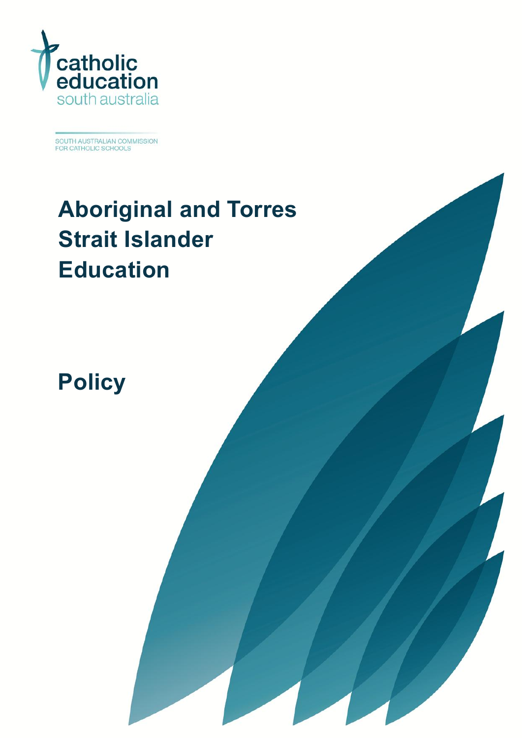

SOUTH AUSTRALIAN COMMISSION<br>FOR CATHOLIC SCHOOLS

# **[Aboriginal and Torres](#page-4-0)  Strait [Islander](#page-4-0) [Education](#page-4-0)**

**[Policy](#page-4-1)**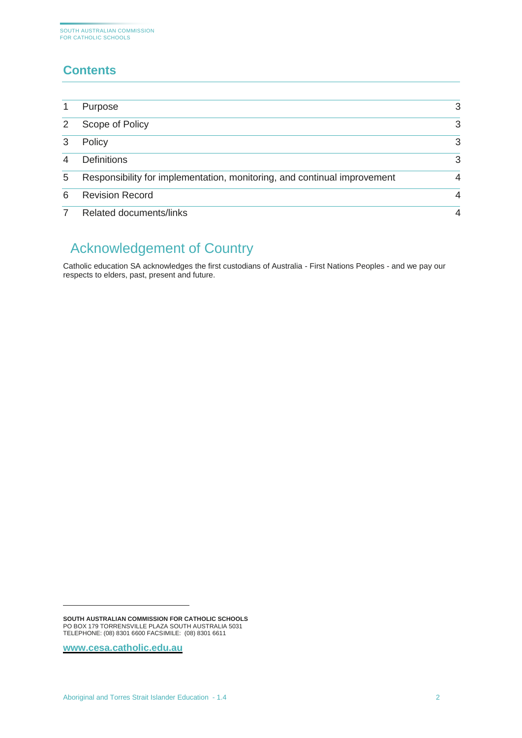## **Contents**

|   | Purpose                                                                  | 3              |
|---|--------------------------------------------------------------------------|----------------|
|   | Scope of Policy                                                          | 3              |
|   | Policy                                                                   | 3              |
|   | <b>Definitions</b>                                                       | 3              |
| 5 | Responsibility for implementation, monitoring, and continual improvement | 4              |
| 6 | <b>Revision Record</b>                                                   | 4              |
|   | <b>Related documents/links</b>                                           | $\overline{4}$ |

# **<sup>1</sup>** Acknowledgement of Country

Catholic education SA acknowledges the first custodians of Australia - First Nations Peoples - and we pay our respects to elders, past, present and future.

**[www.cesa.catholic.edu.au](http://www.cesa.catholic.edu.au/)**

-

**SOUTH AUSTRALIAN COMMISSION FOR CATHOLIC SCHOOLS** PO BOX 179 TORRENSVILLE PLAZA SOUTH AUSTRALIA 5031 TELEPHONE: (08) 8301 6600 FACSIMILE: (08) 8301 6611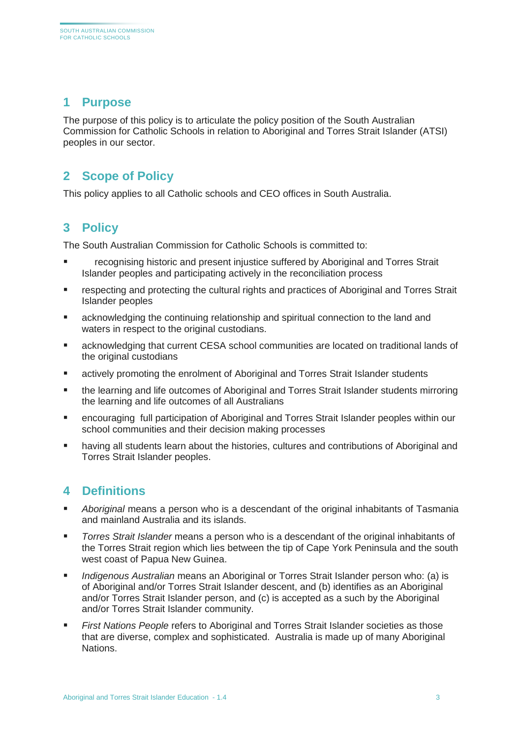#### <span id="page-3-0"></span>**1 Purpose**

The purpose of this policy is to articulate the policy position of the South Australian Commission for Catholic Schools in relation to Aboriginal and Torres Strait Islander (ATSI) peoples in our sector.

#### <span id="page-3-1"></span>**2 Scope of Policy**

<span id="page-3-2"></span>This policy applies to all Catholic schools and CEO offices in South Australia.

#### **3 Policy**

The South Australian Commission for Catholic Schools is committed to:

- recognising historic and present injustice suffered by Aboriginal and Torres Strait Islander peoples and participating actively in the reconciliation process
- respecting and protecting the cultural rights and practices of Aboriginal and Torres Strait Islander peoples
- acknowledging the continuing relationship and spiritual connection to the land and waters in respect to the original custodians.
- acknowledging that current CESA school communities are located on traditional lands of the original custodians
- actively promoting the enrolment of Aboriginal and Torres Strait Islander students
- the learning and life outcomes of Aboriginal and Torres Strait Islander students mirroring the learning and life outcomes of all Australians
- encouraging full participation of Aboriginal and Torres Strait Islander peoples within our school communities and their decision making processes
- having all students learn about the histories, cultures and contributions of Aboriginal and Torres Strait Islander peoples.

#### <span id="page-3-3"></span>**4 Definitions**

- *Aboriginal* means a person who is a descendant of the original inhabitants of Tasmania and mainland Australia and its islands.
- *Torres Strait Islander* means a person who is a descendant of the original inhabitants of the Torres Strait region which lies between the tip of Cape York Peninsula and the south west coast of Papua New Guinea.
- *Indigenous Australian* means an Aboriginal or Torres Strait Islander person who: (a) is of Aboriginal and/or Torres Strait Islander descent, and (b) identifies as an Aboriginal and/or Torres Strait Islander person, and (c) is accepted as a such by the Aboriginal and/or Torres Strait Islander community.
- *First Nations People* refers to Aboriginal and Torres Strait Islander societies as those that are diverse, complex and sophisticated. Australia is made up of many Aboriginal Nations.